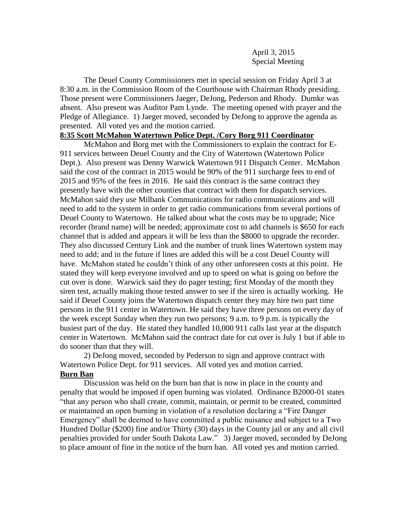April 3, 2015 Special Meeting

The Deuel County Commissioners met in special session on Friday April 3 at 8:30 a.m. in the Commission Room of the Courthouse with Chairman Rhody presiding. Those present were Commissioners Jaeger, DeJong, Pederson and Rhody. Dumke was absent. Also present was Auditor Pam Lynde. The meeting opened with prayer and the Pledge of Allegiance. 1) Jaeger moved, seconded by DeJong to approve the agenda as presented. All voted yes and the motion carried.

## **8:35 Scott McMahon Watertown Police Dept. /Cory Borg 911 Coordinator**

McMahon and Borg met with the Commissioners to explain the contract for E-911 services between Deuel County and the City of Watertown (Watertown Police Dept.). Also present was Denny Warwick Watertown 911 Dispatch Center. McMahon said the cost of the contract in 2015 would be 90% of the 911 surcharge fees to end of 2015 and 95% of the fees in 2016. He said this contract is the same contract they presently have with the other counties that contract with them for dispatch services. McMahon said they use Milbank Communications for radio communications and will need to add to the system in order to get radio communications from several portions of Deuel County to Watertown. He talked about what the costs may be to upgrade; Nice recorder (brand name) will be needed; approximate cost to add channels is \$650 for each channel that is added and appears it will be less than the \$8000 to upgrade the recorder. They also discussed Century Link and the number of trunk lines Watertown system may need to add; and in the future if lines are added this will be a cost Deuel County will have. McMahon stated he couldn't think of any other unforeseen costs at this point. He stated they will keep everyone involved and up to speed on what is going on before the cut over is done. Warwick said they do pager testing; first Monday of the month they siren test, actually making those tested answer to see if the siren is actually working. He said if Deuel County joins the Watertown dispatch center they may hire two part time persons in the 911 center in Watertown. He said they have three persons on every day of the week except Sunday when they run two persons; 9 a.m. to 9 p.m. is typically the busiest part of the day. He stated they handled 10,000 911 calls last year at the dispatch center in Watertown. McMahon said the contract date for cut over is July 1 but if able to do sooner than that they will.

2) DeJong moved, seconded by Pederson to sign and approve contract with Watertown Police Dept. for 911 services. All voted yes and motion carried.

## **Burn Ban**

Discussion was held on the burn ban that is now in place in the county and penalty that would be imposed if open burning was violated. Ordinance B2000-01 states "that any person who shall create, commit, maintain, or permit to be created, committed or maintained an open burning in violation of a resolution declaring a "Fire Danger Emergency" shall be deemed to have committed a public nuisance and subject to a Two Hundred Dollar (\$200) fine and/or Thirty (30) days in the County jail or any and all civil penalties provided for under South Dakota Law." 3) Jaeger moved, seconded by DeJong to place amount of fine in the notice of the burn ban. All voted yes and motion carried.